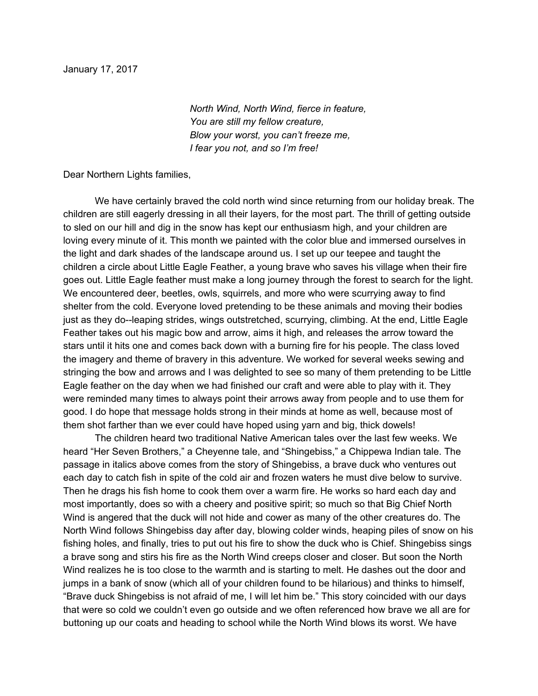*North Wind, North Wind, fierce in feature, You are still my fellow creature, Blow your worst, you can't freeze me, I fear you not, and so I'm free!*

Dear Northern Lights families,

We have certainly braved the cold north wind since returning from our holiday break. The children are still eagerly dressing in all their layers, for the most part. The thrill of getting outside to sled on our hill and dig in the snow has kept our enthusiasm high, and your children are loving every minute of it. This month we painted with the color blue and immersed ourselves in the light and dark shades of the landscape around us. I set up our teepee and taught the children a circle about Little Eagle Feather, a young brave who saves his village when their fire goes out. Little Eagle feather must make a long journey through the forest to search for the light. We encountered deer, beetles, owls, squirrels, and more who were scurrying away to find shelter from the cold. Everyone loved pretending to be these animals and moving their bodies just as they do--leaping strides, wings outstretched, scurrying, climbing. At the end, Little Eagle Feather takes out his magic bow and arrow, aims it high, and releases the arrow toward the stars until it hits one and comes back down with a burning fire for his people. The class loved the imagery and theme of bravery in this adventure. We worked for several weeks sewing and stringing the bow and arrows and I was delighted to see so many of them pretending to be Little Eagle feather on the day when we had finished our craft and were able to play with it. They were reminded many times to always point their arrows away from people and to use them for good. I do hope that message holds strong in their minds at home as well, because most of them shot farther than we ever could have hoped using yarn and big, thick dowels!

The children heard two traditional Native American tales over the last few weeks. We heard "Her Seven Brothers," a Cheyenne tale, and "Shingebiss," a Chippewa Indian tale. The passage in italics above comes from the story of Shingebiss, a brave duck who ventures out each day to catch fish in spite of the cold air and frozen waters he must dive below to survive. Then he drags his fish home to cook them over a warm fire. He works so hard each day and most importantly, does so with a cheery and positive spirit; so much so that Big Chief North Wind is angered that the duck will not hide and cower as many of the other creatures do. The North Wind follows Shingebiss day after day, blowing colder winds, heaping piles of snow on his fishing holes, and finally, tries to put out his fire to show the duck who is Chief. Shingebiss sings a brave song and stirs his fire as the North Wind creeps closer and closer. But soon the North Wind realizes he is too close to the warmth and is starting to melt. He dashes out the door and jumps in a bank of snow (which all of your children found to be hilarious) and thinks to himself, "Brave duck Shingebiss is not afraid of me, I will let him be." This story coincided with our days that were so cold we couldn't even go outside and we often referenced how brave we all are for buttoning up our coats and heading to school while the North Wind blows its worst. We have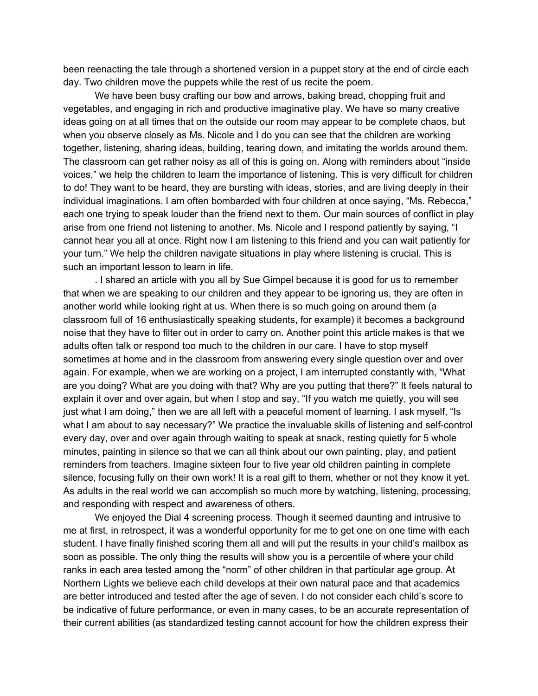been reenacting the tale through a shortened version in a puppet story at the end of circle each day. Two children move the puppets while the rest of us recite the poem.

We have been busy crafting our bow and arrows, baking bread, chopping fruit and vegetables, and engaging in rich and productive imaginative play. We have so many creative ideas going on at all times that on the outside our room may appear to be complete chaos, but when you observe closely as Ms. Nicole and I do you can see that the children are working together, listening, sharing ideas, building, tearing down, and imitating the worlds around them. The classroom can get rather noisy as all of this is going on. Along with reminders about "inside voices," we help the children to learn the importance of listening. This is very difficult for children to do! They want to be heard, they are bursting with ideas, stories, and are living deeply in their individual imaginations. I am often bombarded with four children at once saying, "Ms. Rebecca," each one trying to speak louder than the friend next to them. Our main sources of conflict in play arise from one friend not listening to another. Ms. Nicole and I respond patiently by saying, "I cannot hear you all at once. Right now I am listening to this friend and you can wait patiently for your turn." We help the children navigate situations in play where listening is crucial. This is such an important lesson to learn in life.

. I shared an article with you all by Sue Gimpel because it is good for us to remember that when we are speaking to our children and they appear to be ignoring us, they are often in another world while looking right at us. When there is so much going on around them (a classroom full of 16 enthusiastically speaking students, for example) it becomes a background noise that they have to filter out in order to carry on. Another point this article makes is that we adults often talk or respond too much to the children in our care. I have to stop myself sometimes at home and in the classroom from answering every single question over and over again. For example, when we are working on a project, I am interrupted constantly with, "What are you doing? What are you doing with that? Why are you putting that there?" It feels natural to explain it over and over again, but when I stop and say, "If you watch me quietly, you will see just what I am doing," then we are all left with a peaceful moment of learning. I ask myself, "Is what I am about to say necessary?" We practice the invaluable skills of listening and self-control every day, over and over again through waiting to speak at snack, resting quietly for 5 whole minutes, painting in silence so that we can all think about our own painting, play, and patient reminders from teachers. Imagine sixteen four to five year old children painting in complete silence, focusing fully on their own work! It is a real gift to them, whether or not they know it yet. As adults in the real world we can accomplish so much more by watching, listening, processing, and responding with respect and awareness of others.

We enjoyed the Dial 4 screening process. Though it seemed daunting and intrusive to me at first, in retrospect, it was a wonderful opportunity for me to get one on one time with each student. I have finally finished scoring them all and will put the results in your child's mailbox as soon as possible. The only thing the results will show you is a percentile of where your child ranks in each area tested among the "norm" of other children in that particular age group. At Northern Lights we believe each child develops at their own natural pace and that academics are better introduced and tested after the age of seven. I do not consider each child's score to be indicative of future performance, or even in many cases, to be an accurate representation of their current abilities (as standardized testing cannot account for how the children express their